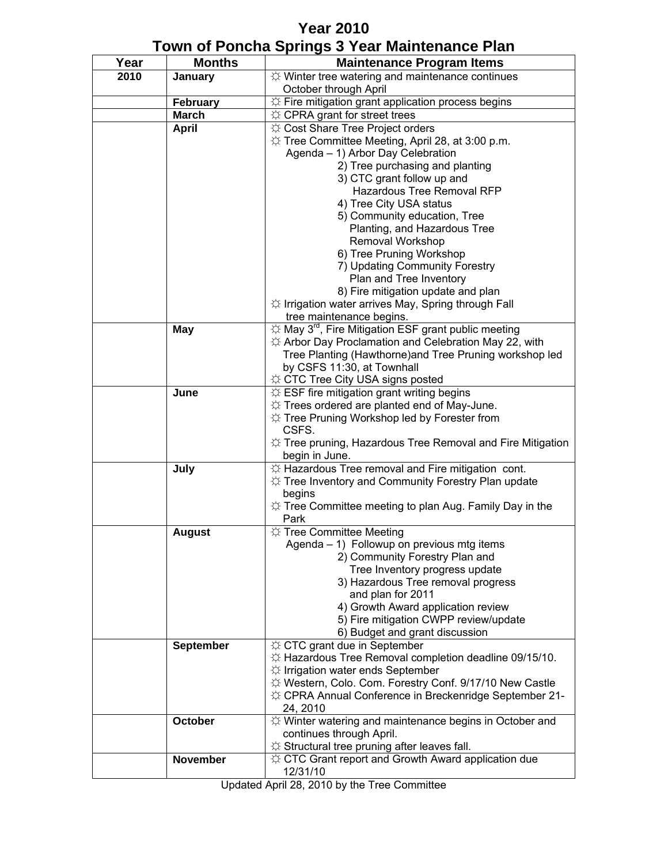## **Year 2010 Town of Poncha Springs 3 Year Maintenance Plan**

| Year | <b>Months</b>    | <b>Maintenance Program Items</b>                                                                           |
|------|------------------|------------------------------------------------------------------------------------------------------------|
| 2010 | January          | $\uplus$ Winter tree watering and maintenance continues                                                    |
|      |                  | October through April                                                                                      |
|      | <b>February</b>  | $\uplus$ Fire mitigation grant application process begins                                                  |
|      | <b>March</b>     | $\uplus$ CPRA grant for street trees                                                                       |
|      | <b>April</b>     | ☆ Cost Share Tree Project orders                                                                           |
|      |                  | ☆ Tree Committee Meeting, April 28, at 3:00 p.m.                                                           |
|      |                  | Agenda - 1) Arbor Day Celebration                                                                          |
|      |                  | 2) Tree purchasing and planting                                                                            |
|      |                  | 3) CTC grant follow up and                                                                                 |
|      |                  | Hazardous Tree Removal RFP                                                                                 |
|      |                  | 4) Tree City USA status                                                                                    |
|      |                  | 5) Community education, Tree<br>Planting, and Hazardous Tree                                               |
|      |                  | Removal Workshop                                                                                           |
|      |                  | 6) Tree Pruning Workshop                                                                                   |
|      |                  | 7) Updating Community Forestry                                                                             |
|      |                  | Plan and Tree Inventory                                                                                    |
|      |                  | 8) Fire mitigation update and plan                                                                         |
|      |                  | $\uplus$ Irrigation water arrives May, Spring through Fall                                                 |
|      |                  | tree maintenance begins.                                                                                   |
|      | <b>May</b>       | $\uplus$ May 3 <sup>rd</sup> , Fire Mitigation ESF grant public meeting                                    |
|      |                  | $\uplus$ Arbor Day Proclamation and Celebration May 22, with                                               |
|      |                  | Tree Planting (Hawthorne) and Tree Pruning workshop led                                                    |
|      |                  | by CSFS 11:30, at Townhall                                                                                 |
|      |                  | ☆ CTC Tree City USA signs posted                                                                           |
|      | June             | $\uplus$ ESF fire mitigation grant writing begins                                                          |
|      |                  | $\uplus$ Trees ordered are planted end of May-June.<br>☆ Tree Pruning Workshop led by Forester from        |
|      |                  | CSFS.                                                                                                      |
|      |                  | $\uplus$ Tree pruning, Hazardous Tree Removal and Fire Mitigation                                          |
|      |                  | begin in June.                                                                                             |
|      | July             | ☆ Hazardous Tree removal and Fire mitigation cont.                                                         |
|      |                  | ☆ Tree Inventory and Community Forestry Plan update                                                        |
|      |                  | begins                                                                                                     |
|      |                  | $\uplus$ Tree Committee meeting to plan Aug. Family Day in the                                             |
|      |                  | Park                                                                                                       |
|      | <b>August</b>    | ☆ Tree Committee Meeting                                                                                   |
|      |                  | Agenda – 1) Followup on previous mtg items                                                                 |
|      |                  | 2) Community Forestry Plan and                                                                             |
|      |                  | Tree Inventory progress update<br>3) Hazardous Tree removal progress                                       |
|      |                  | and plan for 2011                                                                                          |
|      |                  | 4) Growth Award application review                                                                         |
|      |                  | 5) Fire mitigation CWPP review/update                                                                      |
|      |                  | 6) Budget and grant discussion                                                                             |
|      | <b>September</b> | ☆ CTC grant due in September                                                                               |
|      |                  | ☆ Hazardous Tree Removal completion deadline 09/15/10.                                                     |
|      |                  | $\uplus$ Irrigation water ends September                                                                   |
|      |                  | ☆ Western, Colo. Com. Forestry Conf. 9/17/10 New Castle                                                    |
|      |                  | ☆ CPRA Annual Conference in Breckenridge September 21-                                                     |
|      |                  | 24, 2010                                                                                                   |
|      | October          | $\uplus$ Winter watering and maintenance begins in October and                                             |
|      |                  | continues through April.                                                                                   |
|      | <b>November</b>  | ☆ Structural tree pruning after leaves fall.<br>$\uplus$ CTC Grant report and Growth Award application due |
|      |                  | 12/31/10                                                                                                   |
|      |                  |                                                                                                            |

Updated April 28, 2010 by the Tree Committee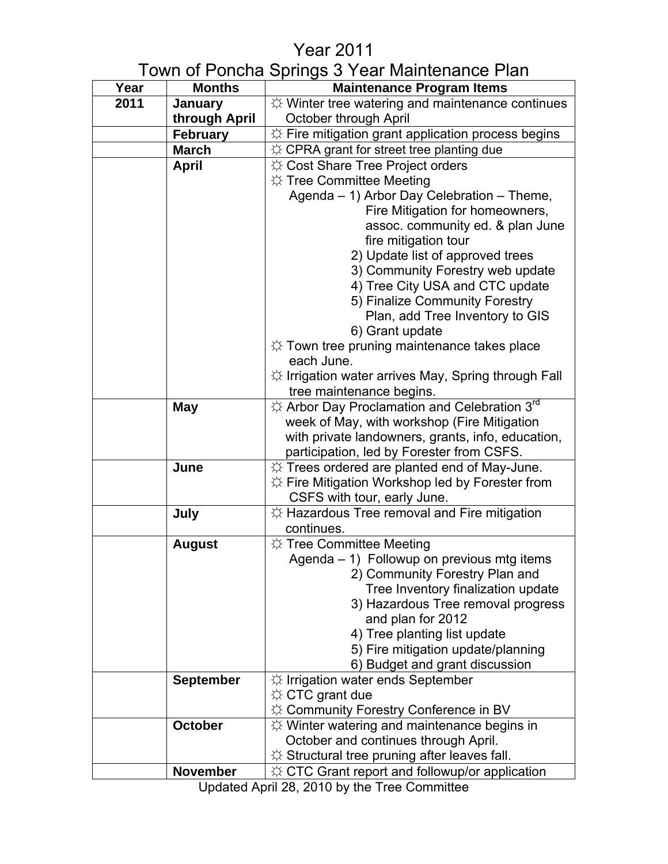## Year 2011

## Town of Poncha Springs 3 Year Maintenance Plan

| Year | <b>Months</b>    | <b>Maintenance Program Items</b>                                           |
|------|------------------|----------------------------------------------------------------------------|
| 2011 | <b>January</b>   | $\uplus$ Winter tree watering and maintenance continues                    |
|      | through April    | October through April                                                      |
|      | <b>February</b>  | $\Diamond$ Fire mitigation grant application process begins                |
|      | <b>March</b>     | $\uplus$ CPRA grant for street tree planting due                           |
|      | <b>April</b>     | ☆ Cost Share Tree Project orders                                           |
|      |                  | $\uplus$ Tree Committee Meeting                                            |
|      |                  | Agenda – 1) Arbor Day Celebration – Theme,                                 |
|      |                  | Fire Mitigation for homeowners,                                            |
|      |                  | assoc. community ed. & plan June                                           |
|      |                  | fire mitigation tour                                                       |
|      |                  | 2) Update list of approved trees                                           |
|      |                  | 3) Community Forestry web update                                           |
|      |                  | 4) Tree City USA and CTC update                                            |
|      |                  | 5) Finalize Community Forestry                                             |
|      |                  | Plan, add Tree Inventory to GIS                                            |
|      |                  | 6) Grant update                                                            |
|      |                  | $\Diamond$ Town tree pruning maintenance takes place<br>each June.         |
|      |                  | $\uplus$ Irrigation water arrives May, Spring through Fall                 |
|      |                  | tree maintenance begins.                                                   |
|      | <b>May</b>       | $\Im$ Arbor Day Proclamation and Celebration $3^{\text{rd}}$               |
|      |                  | week of May, with workshop (Fire Mitigation                                |
|      |                  | with private landowners, grants, info, education,                          |
|      |                  | participation, led by Forester from CSFS.                                  |
|      | June             | $\uplus$ Trees ordered are planted end of May-June.                        |
|      |                  | ☆ Fire Mitigation Workshop led by Forester from                            |
|      |                  | CSFS with tour, early June.                                                |
|      | July             | $\uplus$ Hazardous Tree removal and Fire mitigation                        |
|      |                  | continues.                                                                 |
|      | <b>August</b>    | ☆ Tree Committee Meeting                                                   |
|      |                  | Agenda - 1) Followup on previous mtg items                                 |
|      |                  | 2) Community Forestry Plan and                                             |
|      |                  | Tree Inventory finalization update                                         |
|      |                  | 3) Hazardous Tree removal progress                                         |
|      |                  | and plan for 2012                                                          |
|      |                  | 4) Tree planting list update                                               |
|      |                  | 5) Fire mitigation update/planning                                         |
|      | <b>September</b> | 6) Budget and grant discussion<br>$\uplus$ Irrigation water ends September |
|      |                  | $\uplus$ CTC grant due                                                     |
|      |                  | $\Diamond$ Community Forestry Conference in BV                             |
|      | <b>October</b>   | $\Diamond$ Winter watering and maintenance begins in                       |
|      |                  | October and continues through April.                                       |
|      |                  | $\Diamond$ Structural tree pruning after leaves fall.                      |
|      | <b>November</b>  | $\uplus$ CTC Grant report and followup/or application                      |

Updated April 28, 2010 by the Tree Committee